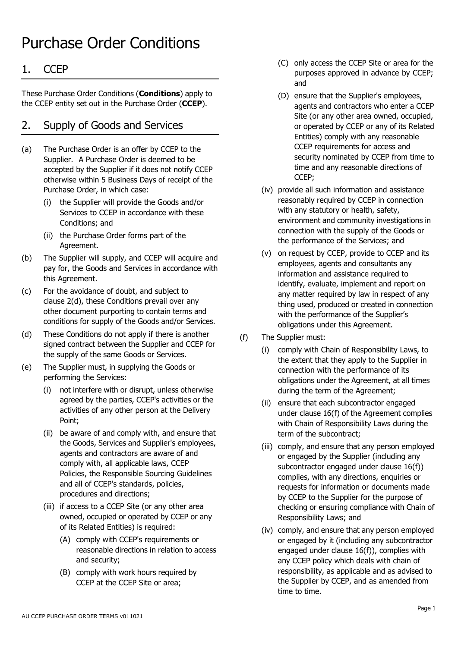# Purchase Order Conditions

# 1. CCEP

These Purchase Order Conditions (**Conditions**) apply to the CCEP entity set out in the Purchase Order (**CCEP**).

# 2. Supply of Goods and Services

- (a) The Purchase Order is an offer by CCEP to the Supplier. A Purchase Order is deemed to be accepted by the Supplier if it does not notify CCEP otherwise within 5 Business Days of receipt of the Purchase Order, in which case:
	- (i) the Supplier will provide the Goods and/or Services to CCEP in accordance with these Conditions; and
	- (ii) the Purchase Order forms part of the Agreement.
- (b) The Supplier will supply, and CCEP will acquire and pay for, the Goods and Services in accordance with this Agreement.
- (c) For the avoidance of doubt, and subject to clause [2\(d\),](#page-0-0) these Conditions prevail over any other document purporting to contain terms and conditions for supply of the Goods and/or Services.
- <span id="page-0-0"></span>(d) These Conditions do not apply if there is another signed contract between the Supplier and CCEP for the supply of the same Goods or Services.
- (e) The Supplier must, in supplying the Goods or performing the Services:
	- (i) not interfere with or disrupt, unless otherwise agreed by the parties, CCEP's activities or the activities of any other person at the Delivery Point;
	- (ii) be aware of and comply with, and ensure that the Goods, Services and Supplier's employees, agents and contractors are aware of and comply with, all applicable laws, CCEP Policies, the Responsible Sourcing Guidelines and all of CCEP's standards, policies, procedures and directions;
	- (iii) if access to a CCEP Site (or any other area owned, occupied or operated by CCEP or any of its Related Entities) is required:
		- (A) comply with CCEP's requirements or reasonable directions in relation to access and security;
		- (B) comply with work hours required by CCEP at the CCEP Site or area;
- (C) only access the CCEP Site or area for the purposes approved in advance by CCEP; and
- (D) ensure that the Supplier's employees, agents and contractors who enter a CCEP Site (or any other area owned, occupied, or operated by CCEP or any of its Related Entities) comply with any reasonable CCEP requirements for access and security nominated by CCEP from time to time and any reasonable directions of CCEP;
- (iv) provide all such information and assistance reasonably required by CCEP in connection with any statutory or health, safety, environment and community investigations in connection with the supply of the Goods or the performance of the Services; and
- (v) on request by CCEP, provide to CCEP and its employees, agents and consultants any information and assistance required to identify, evaluate, implement and report on any matter required by law in respect of any thing used, produced or created in connection with the performance of the Supplier's obligations under this Agreement.
- (f) The Supplier must:
	- (i) comply with Chain of Responsibility Laws, to the extent that they apply to the Supplier in connection with the performance of its obligations under the Agreement, at all times during the term of the Agreement;
	- (ii) ensure that each subcontractor engaged under clause [16\(f\)](#page-5-0) of the Agreement complies with Chain of Responsibility Laws during the term of the subcontract;
	- (iii) comply, and ensure that any person employed or engaged by the Supplier (including any subcontractor engaged under clause [16\(f\)\)](#page-5-0) complies, with any directions, enquiries or requests for information or documents made by CCEP to the Supplier for the purpose of checking or ensuring compliance with Chain of Responsibility Laws; and
	- (iv) comply, and ensure that any person employed or engaged by it (including any subcontractor engaged under clause [16\(f\)\)](#page-5-0), complies with any CCEP policy which deals with chain of responsibility, as applicable and as advised to the Supplier by CCEP, and as amended from time to time.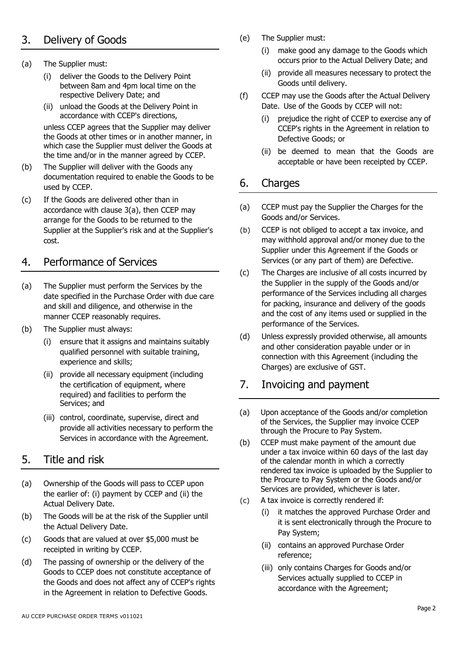# 3. Delivery of Goods

- <span id="page-1-0"></span>(a) The Supplier must:
	- (i) deliver the Goods to the Delivery Point between 8am and 4pm local time on the respective Delivery Date; and
	- (ii) unload the Goods at the Delivery Point in accordance with CCEP's directions,

unless CCEP agrees that the Supplier may deliver the Goods at other times or in another manner, in which case the Supplier must deliver the Goods at the time and/or in the manner agreed by CCEP.

- <span id="page-1-3"></span>(b) The Supplier will deliver with the Goods any documentation required to enable the Goods to be used by CCEP.
- (c) If the Goods are delivered other than in accordance with clause [3\(a\),](#page-1-0) then CCEP may arrange for the Goods to be returned to the Supplier at the Supplier's risk and at the Supplier's cost.

#### 4. Performance of Services

- (a) The Supplier must perform the Services by the date specified in the Purchase Order with due care and skill and diligence, and otherwise in the manner CCEP reasonably requires.
- (b) The Supplier must always:
	- (i) ensure that it assigns and maintains suitably qualified personnel with suitable training, experience and skills;
	- (ii) provide all necessary equipment (including the certification of equipment, where required) and facilities to perform the Services; and
	- (iii) control, coordinate, supervise, direct and provide all activities necessary to perform the Services in accordance with the Agreement.

#### 5. Title and risk

- (a) Ownership of the Goods will pass to CCEP upon the earlier of: (i) payment by CCEP and (ii) the Actual Delivery Date.
- (b) The Goods will be at the risk of the Supplier until the Actual Delivery Date.
- (c) Goods that are valued at over \$5,000 must be receipted in writing by CCEP.
- (d) The passing of ownership or the delivery of the Goods to CCEP does not constitute acceptance of the Goods and does not affect any of CCEP's rights in the Agreement in relation to Defective Goods.
- (e) The Supplier must:
	- (i) make good any damage to the Goods which occurs prior to the Actual Delivery Date; and
	- (ii) provide all measures necessary to protect the Goods until delivery.
- (f) CCEP may use the Goods after the Actual Delivery Date. Use of the Goods by CCEP will not:
	- (i) prejudice the right of CCEP to exercise any of CCEP's rights in the Agreement in relation to Defective Goods; or
	- (ii) be deemed to mean that the Goods are acceptable or have been receipted by CCEP.

#### 6. Charges

- (a) CCEP must pay the Supplier the Charges for the Goods and/or Services.
- (b) CCEP is not obliged to accept a tax invoice, and may withhold approval and/or money due to the Supplier under this Agreement if the Goods or Services (or any part of them) are Defective.
- (c) The Charges are inclusive of all costs incurred by the Supplier in the supply of the Goods and/or performance of the Services including all charges for packing, insurance and delivery of the goods and the cost of any items used or supplied in the performance of the Services.
- (d) Unless expressly provided otherwise, all amounts and other consideration payable under or in connection with this Agreement (including the Charges) are exclusive of GST.

### <span id="page-1-1"></span>7. Invoicing and payment

- <span id="page-1-2"></span>(a) Upon acceptance of the Goods and/or completion of the Services, the Supplier may invoice CCEP through the Procure to Pay System.
- (b) CCEP must make payment of the amount due under a tax invoice within 60 days of the last day of the calendar month in which a correctly rendered tax invoice is uploaded by the Supplier to the Procure to Pay System or the Goods and/or Services are provided, whichever is later.
- (c) A tax invoice is correctly rendered if:
	- (i) it matches the approved Purchase Order and it is sent electronically through the Procure to Pay System;
	- (ii) contains an approved Purchase Order reference;
	- (iii) only contains Charges for Goods and/or Services actually supplied to CCEP in accordance with the Agreement;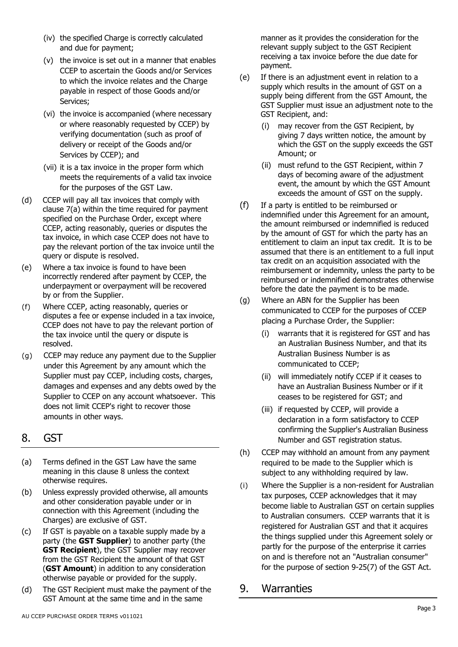- (iv) the specified Charge is correctly calculated and due for payment;
- (v) the invoice is set out in a manner that enables CCEP to ascertain the Goods and/or Services to which the invoice relates and the Charge payable in respect of those Goods and/or Services;
- (vi) the invoice is accompanied (where necessary or where reasonably requested by CCEP) by verifying documentation (such as proof of delivery or receipt of the Goods and/or Services by CCEP); and
- (vii) it is a tax invoice in the proper form which meets the requirements of a valid tax invoice for the purposes of the GST Law.
- (d) CCEP will pay all tax invoices that comply with clause [7](#page-1-1)[\(a\) w](#page-1-2)ithin the time required for payment specified on the Purchase Order, except where CCEP, acting reasonably, queries or disputes the tax invoice, in which case CCEP does not have to pay the relevant portion of the tax invoice until the query or dispute is resolved.
- (e) Where a tax invoice is found to have been incorrectly rendered after payment by CCEP, the underpayment or overpayment will be recovered by or from the Supplier.
- (f) Where CCEP, acting reasonably, queries or disputes a fee or expense included in a tax invoice, CCEP does not have to pay the relevant portion of the tax invoice until the query or dispute is resolved.
- (g) CCEP may reduce any payment due to the Supplier under this Agreement by any amount which the Supplier must pay CCEP, including costs, charges, damages and expenses and any debts owed by the Supplier to CCEP on any account whatsoever. This does not limit CCEP's right to recover those amounts in other ways.

#### <span id="page-2-0"></span>8. GST

- (a) Terms defined in the GST Law have the same meaning in this clause [8 u](#page-2-0)nless the context otherwise requires.
- (b) Unless expressly provided otherwise, all amounts and other consideration payable under or in connection with this Agreement (including the Charges) are exclusive of GST.
- (c) If GST is payable on a taxable supply made by a party (the **GST Supplier**) to another party (the **GST Recipient**), the GST Supplier may recover from the GST Recipient the amount of that GST (**GST Amount**) in addition to any consideration otherwise payable or provided for the supply.
- (d) The GST Recipient must make the payment of the GST Amount at the same time and in the same

manner as it provides the consideration for the relevant supply subject to the GST Recipient receiving a tax invoice before the due date for payment.

- (e) If there is an adjustment event in relation to a supply which results in the amount of GST on a supply being different from the GST Amount, the GST Supplier must issue an adjustment note to the GST Recipient, and:
	- (i) may recover from the GST Recipient, by giving 7 days written notice, the amount by which the GST on the supply exceeds the GST Amount; or
	- (ii) must refund to the GST Recipient, within 7 days of becoming aware of the adjustment event, the amount by which the GST Amount exceeds the amount of GST on the supply.
- (f) If a party is entitled to be reimbursed or indemnified under this Agreement for an amount, the amount reimbursed or indemnified is reduced by the amount of GST for which the party has an entitlement to claim an input tax credit. It is to be assumed that there is an entitlement to a full input tax credit on an acquisition associated with the reimbursement or indemnity, unless the party to be reimbursed or indemnified demonstrates otherwise before the date the payment is to be made.
- (g) Where an ABN for the Supplier has been communicated to CCEP for the purposes of CCEP placing a Purchase Order, the Supplier:
	- (i) warrants that it is registered for GST and has an Australian Business Number, and that its Australian Business Number is as communicated to CCEP;
	- (ii) will immediately notify CCEP if it ceases to have an Australian Business Number or if it ceases to be registered for GST; and
	- (iii) if requested by CCEP, will provide a declaration in a form satisfactory to CCEP confirming the Supplier's Australian Business Number and GST registration status.
- (h) CCEP may withhold an amount from any payment required to be made to the Supplier which is subject to any withholding required by law.
- (i) Where the Supplier is a non-resident for Australian tax purposes, CCEP acknowledges that it may become liable to Australian GST on certain supplies to Australian consumers. CCEP warrants that it is registered for Australian GST and that it acquires the things supplied under this Agreement solely or partly for the purpose of the enterprise it carries on and is therefore not an "Australian consumer" for the purpose of section 9-25(7) of the GST Act.

#### 9. Warranties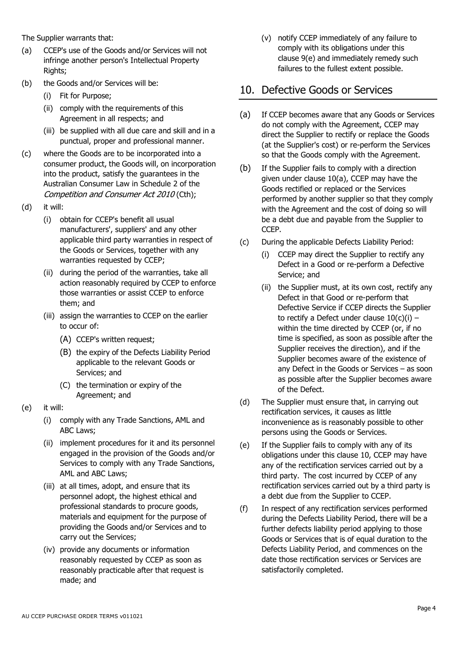The Supplier warrants that:

- (a) CCEP's use of the Goods and/or Services will not infringe another person's Intellectual Property Rights;
- (b) the Goods and/or Services will be:
	- (i) Fit for Purpose;
	- (ii) comply with the requirements of this Agreement in all respects; and
	- (iii) be supplied with all due care and skill and in a punctual, proper and professional manner.
- (c) where the Goods are to be incorporated into a consumer product, the Goods will, on incorporation into the product, satisfy the guarantees in the Australian Consumer Law in Schedule 2 of the Competition and Consumer Act 2010 (Cth);
- (d) it will:
	- (i) obtain for CCEP's benefit all usual manufacturers', suppliers' and any other applicable third party warranties in respect of the Goods or Services, together with any warranties requested by CCEP;
	- (ii) during the period of the warranties, take all action reasonably required by CCEP to enforce those warranties or assist CCEP to enforce them; and
	- (iii) assign the warranties to CCEP on the earlier to occur of:
		- (A) CCEP's written request;
		- (B) the expiry of the Defects Liability Period applicable to the relevant Goods or Services; and
		- (C) the termination or expiry of the Agreement; and
- <span id="page-3-0"></span>(e) it will:
	- (i) comply with any Trade Sanctions, AML and ABC Laws;
	- (ii) implement procedures for it and its personnel engaged in the provision of the Goods and/or Services to comply with any Trade Sanctions, AML and ABC Laws;
	- (iii) at all times, adopt, and ensure that its personnel adopt, the highest ethical and professional standards to procure goods, materials and equipment for the purpose of providing the Goods and/or Services and to carry out the Services;
	- (iv) provide any documents or information reasonably requested by CCEP as soon as reasonably practicable after that request is made; and

(v) notify CCEP immediately of any failure to comply with its obligations under this clause [9\(e\)](#page-3-0) and immediately remedy such failures to the fullest extent possible.

#### <span id="page-3-3"></span>10. Defective Goods or Services

- <span id="page-3-1"></span>(a) If CCEP becomes aware that any Goods or Services do not comply with the Agreement, CCEP may direct the Supplier to rectify or replace the Goods (at the Supplier's cost) or re-perform the Services so that the Goods comply with the Agreement.
- (b) If the Supplier fails to comply with a direction given under clause [10\(a\),](#page-3-1) CCEP may have the Goods rectified or replaced or the Services performed by another supplier so that they comply with the Agreement and the cost of doing so will be a debt due and payable from the Supplier to CCEP.
- <span id="page-3-2"></span>(c) During the applicable Defects Liability Period:
	- (i) CCEP may direct the Supplier to rectify any Defect in a Good or re-perform a Defective Service; and
	- (ii) the Supplier must, at its own cost, rectify any Defect in that Good or re-perform that Defective Service if CCEP directs the Supplier to rectify a Defect under clause  $10(c)(i)$  within the time directed by CCEP (or, if no time is specified, as soon as possible after the Supplier receives the direction), and if the Supplier becomes aware of the existence of any Defect in the Goods or Services – as soon as possible after the Supplier becomes aware of the Defect.
- (d) The Supplier must ensure that, in carrying out rectification services, it causes as little inconvenience as is reasonably possible to other persons using the Goods or Services.
- (e) If the Supplier fails to comply with any of its obligations under this clause [10,](#page-3-3) CCEP may have any of the rectification services carried out by a third party. The cost incurred by CCEP of any rectification services carried out by a third party is a debt due from the Supplier to CCEP.
- (f) In respect of any rectification services performed during the Defects Liability Period, there will be a further defects liability period applying to those Goods or Services that is of equal duration to the Defects Liability Period, and commences on the date those rectification services or Services are satisfactorily completed.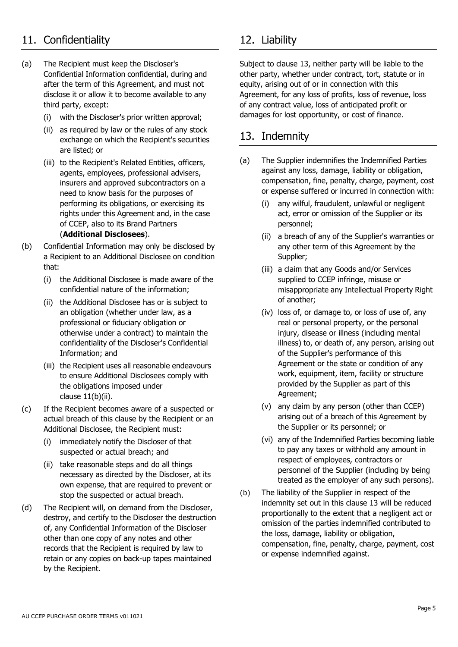# <span id="page-4-2"></span>11. Confidentiality 12. Liability

- (a) The Recipient must keep the Discloser's Confidential Information confidential, during and after the term of this Agreement, and must not disclose it or allow it to become available to any third party, except:
	- (i) with the Discloser's prior written approval;
	- (ii) as required by law or the rules of any stock exchange on which the Recipient's securities are listed; or
	- (iii) to the Recipient's Related Entities, officers, agents, employees, professional advisers, insurers and approved subcontractors on a need to know basis for the purposes of performing its obligations, or exercising its rights under this Agreement and, in the case of CCEP, also to its Brand Partners (**Additional Disclosees**).
- <span id="page-4-0"></span>(b) Confidential Information may only be disclosed by a Recipient to an Additional Disclosee on condition that:
	- (i) the Additional Disclosee is made aware of the confidential nature of the information;
	- (ii) the Additional Disclosee has or is subject to an obligation (whether under law, as a professional or fiduciary obligation or otherwise under a contract) to maintain the confidentiality of the Discloser's Confidential Information; and
	- (iii) the Recipient uses all reasonable endeavours to ensure Additional Disclosees comply with the obligations imposed under clause  $11(b)(ii)$ .
- (c) If the Recipient becomes aware of a suspected or actual breach of this clause by the Recipient or an Additional Disclosee, the Recipient must:
	- (i) immediately notify the Discloser of that suspected or actual breach; and
	- (ii) take reasonable steps and do all things necessary as directed by the Discloser, at its own expense, that are required to prevent or stop the suspected or actual breach.
- (d) The Recipient will, on demand from the Discloser, destroy, and certify to the Discloser the destruction of, any Confidential Information of the Discloser other than one copy of any notes and other records that the Recipient is required by law to retain or any copies on back-up tapes maintained by the Recipient.

<span id="page-4-3"></span>Subject to clause [13,](#page-4-1) neither party will be liable to the other party, whether under contract, tort, statute or in equity, arising out of or in connection with this Agreement, for any loss of profits, loss of revenue, loss of any contract value, loss of anticipated profit or damages for lost opportunity, or cost of finance.

#### <span id="page-4-1"></span>13. Indemnity

- (a) The Supplier indemnifies the Indemnified Parties against any loss, damage, liability or obligation, compensation, fine, penalty, charge, payment, cost or expense suffered or incurred in connection with:
	- (i) any wilful, fraudulent, unlawful or negligent act, error or omission of the Supplier or its personnel;
	- (ii) a breach of any of the Supplier's warranties or any other term of this Agreement by the Supplier;
	- (iii) a claim that any Goods and/or Services supplied to CCEP infringe, misuse or misappropriate any Intellectual Property Right of another;
	- (iv) loss of, or damage to, or loss of use of, any real or personal property, or the personal injury, disease or illness (including mental illness) to, or death of, any person, arising out of the Supplier's performance of this Agreement or the state or condition of any work, equipment, item, facility or structure provided by the Supplier as part of this Agreement;
	- (v) any claim by any person (other than CCEP) arising out of a breach of this Agreement by the Supplier or its personnel; or
	- (vi) any of the Indemnified Parties becoming liable to pay any taxes or withhold any amount in respect of employees, contractors or personnel of the Supplier (including by being treated as the employer of any such persons).
- (b) The liability of the Supplier in respect of the indemnity set out in this clause [13 w](#page-4-1)ill be reduced proportionally to the extent that a negligent act or omission of the parties indemnified contributed to the loss, damage, liability or obligation, compensation, fine, penalty, charge, payment, cost or expense indemnified against.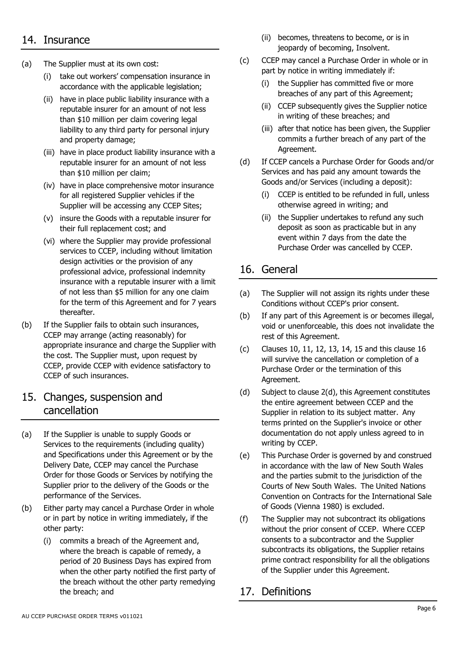#### <span id="page-5-1"></span>14. Insurance

- (a) The Supplier must at its own cost:
	- (i) take out workers' compensation insurance in accordance with the applicable legislation;
	- (ii) have in place public liability insurance with a reputable insurer for an amount of not less than \$10 million per claim covering legal liability to any third party for personal injury and property damage;
	- (iii) have in place product liability insurance with a reputable insurer for an amount of not less than \$10 million per claim;
	- (iv) have in place comprehensive motor insurance for all registered Supplier vehicles if the Supplier will be accessing any CCEP Sites;
	- (v) insure the Goods with a reputable insurer for their full replacement cost; and
	- (vi) where the Supplier may provide professional services to CCEP, including without limitation design activities or the provision of any professional advice, professional indemnity insurance with a reputable insurer with a limit of not less than \$5 million for any one claim for the term of this Agreement and for 7 years thereafter.
- (b) If the Supplier fails to obtain such insurances, CCEP may arrange (acting reasonably) for appropriate insurance and charge the Supplier with the cost. The Supplier must, upon request by CCEP, provide CCEP with evidence satisfactory to CCEP of such insurances.

#### <span id="page-5-2"></span>15. Changes, suspension and cancellation

- (a) If the Supplier is unable to supply Goods or Services to the requirements (including quality) and Specifications under this Agreement or by the Delivery Date, CCEP may cancel the Purchase Order for those Goods or Services by notifying the Supplier prior to the delivery of the Goods or the performance of the Services.
- (b) Either party may cancel a Purchase Order in whole or in part by notice in writing immediately, if the other party:
	- (i) commits a breach of the Agreement and, where the breach is capable of remedy, a period of 20 Business Days has expired from when the other party notified the first party of the breach without the other party remedying the breach; and
- (ii) becomes, threatens to become, or is in jeopardy of becoming, Insolvent.
- (c) CCEP may cancel a Purchase Order in whole or in part by notice in writing immediately if:
	- (i) the Supplier has committed five or more breaches of any part of this Agreement;
	- (ii) CCEP subsequently gives the Supplier notice in writing of these breaches; and
	- (iii) after that notice has been given, the Supplier commits a further breach of any part of the Agreement.
- (d) If CCEP cancels a Purchase Order for Goods and/or Services and has paid any amount towards the Goods and/or Services (including a deposit):
	- (i) CCEP is entitled to be refunded in full, unless otherwise agreed in writing; and
	- (ii) the Supplier undertakes to refund any such deposit as soon as practicable but in any event within 7 days from the date the Purchase Order was cancelled by CCEP.

## <span id="page-5-3"></span>16. General

- (a) The Supplier will not assign its rights under these Conditions without CCEP's prior consent.
- (b) If any part of this Agreement is or becomes illegal, void or unenforceable, this does not invalidate the rest of this Agreement.
- (c) Clauses [10,](#page-3-3) [11,](#page-4-2) [12,](#page-4-3) [13,](#page-4-1) [14,](#page-5-1) [15](#page-5-2) and this clause [16](#page-5-3) will survive the cancellation or completion of a Purchase Order or the termination of this Agreement.
- (d) Subject to clause [2\(d\),](#page-0-0) this Agreement constitutes the entire agreement between CCEP and the Supplier in relation to its subject matter. Any terms printed on the Supplier's invoice or other documentation do not apply unless agreed to in writing by CCEP.
- (e) This Purchase Order is governed by and construed in accordance with the law of New South Wales and the parties submit to the jurisdiction of the Courts of New South Wales. The United Nations Convention on Contracts for the International Sale of Goods (Vienna 1980) is excluded.
- <span id="page-5-0"></span>(f) The Supplier may not subcontract its obligations without the prior consent of CCEP. Where CCEP consents to a subcontractor and the Supplier subcontracts its obligations, the Supplier retains prime contract responsibility for all the obligations of the Supplier under this Agreement.

### 17. Definitions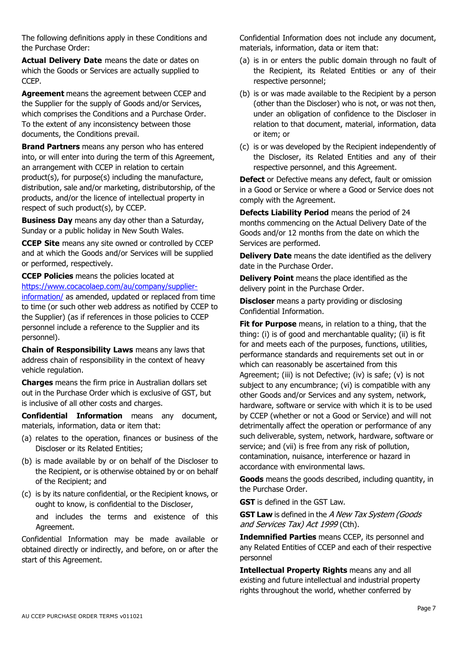The following definitions apply in these Conditions and the Purchase Order:

**Actual Delivery Date** means the date or dates on which the Goods or Services are actually supplied to CCEP.

**Agreement** means the agreement between CCEP and the Supplier for the supply of Goods and/or Services, which comprises the Conditions and a Purchase Order. To the extent of any inconsistency between those documents, the Conditions prevail.

**Brand Partners** means any person who has entered into, or will enter into during the term of this Agreement, an arrangement with CCEP in relation to certain product(s), for purpose(s) including the manufacture, distribution, sale and/or marketing, distributorship, of the products, and/or the licence of intellectual property in respect of such product(s), by CCEP.

**Business Day** means any day other than a Saturday, Sunday or a public holiday in New South Wales.

**CCEP Site** means any site owned or controlled by CCEP and at which the Goods and/or Services will be supplied or performed, respectively.

**CCEP Policies** means the policies located at [https://www.cocacolaep.com/au/company/supplier-](https://www.cocacolaep.com/au/company/supplier-information/)

[information/](https://www.cocacolaep.com/au/company/supplier-information/) as amended, updated or replaced from time to time (or such other web address as notified by CCEP to the Supplier) (as if references in those policies to CCEP personnel include a reference to the Supplier and its personnel).

**Chain of Responsibility Laws** means any laws that address chain of responsibility in the context of heavy vehicle regulation.

**Charges** means the firm price in Australian dollars set out in the Purchase Order which is exclusive of GST, but is inclusive of all other costs and charges.

**Confidential Information** means any document, materials, information, data or item that:

- (a) relates to the operation, finances or business of the Discloser or its Related Entities;
- (b) is made available by or on behalf of the Discloser to the Recipient, or is otherwise obtained by or on behalf of the Recipient; and
- (c) is by its nature confidential, or the Recipient knows, or ought to know, is confidential to the Discloser, and includes the terms and existence of this Agreement.

Confidential Information may be made available or obtained directly or indirectly, and before, on or after the start of this Agreement.

Confidential Information does not include any document, materials, information, data or item that:

- (a) is in or enters the public domain through no fault of the Recipient, its Related Entities or any of their respective personnel;
- (b) is or was made available to the Recipient by a person (other than the Discloser) who is not, or was not then, under an obligation of confidence to the Discloser in relation to that document, material, information, data or item; or
- (c) is or was developed by the Recipient independently of the Discloser, its Related Entities and any of their respective personnel, and this Agreement.

**Defect** or Defective means any defect, fault or omission in a Good or Service or where a Good or Service does not comply with the Agreement.

**Defects Liability Period** means the period of 24 months commencing on the Actual Delivery Date of the Goods and/or 12 months from the date on which the Services are performed.

**Delivery Date** means the date identified as the delivery date in the Purchase Order.

**Delivery Point** means the place identified as the delivery point in the Purchase Order.

**Discloser** means a party providing or disclosing Confidential Information.

**Fit for Purpose** means, in relation to a thing, that the thing: (i) is of good and merchantable quality; (ii) is fit for and meets each of the purposes, functions, utilities, performance standards and requirements set out in or which can reasonably be ascertained from this Agreement; (iii) is not Defective; (iv) is safe; (v) is not subject to any encumbrance; (vi) is compatible with any other Goods and/or Services and any system, network, hardware, software or service with which it is to be used by CCEP (whether or not a Good or Service) and will not detrimentally affect the operation or performance of any such deliverable, system, network, hardware, software or service; and (vii) is free from any risk of pollution, contamination, nuisance, interference or hazard in accordance with environmental laws.

**Goods** means the goods described, including quantity, in the Purchase Order.

**GST** is defined in the GST Law.

**GST Law** is defined in the A New Tax System (Goods and Services Tax) Act 1999 (Cth).

**Indemnified Parties** means CCEP, its personnel and any Related Entities of CCEP and each of their respective personnel

**Intellectual Property Rights** means any and all existing and future intellectual and industrial property rights throughout the world, whether conferred by